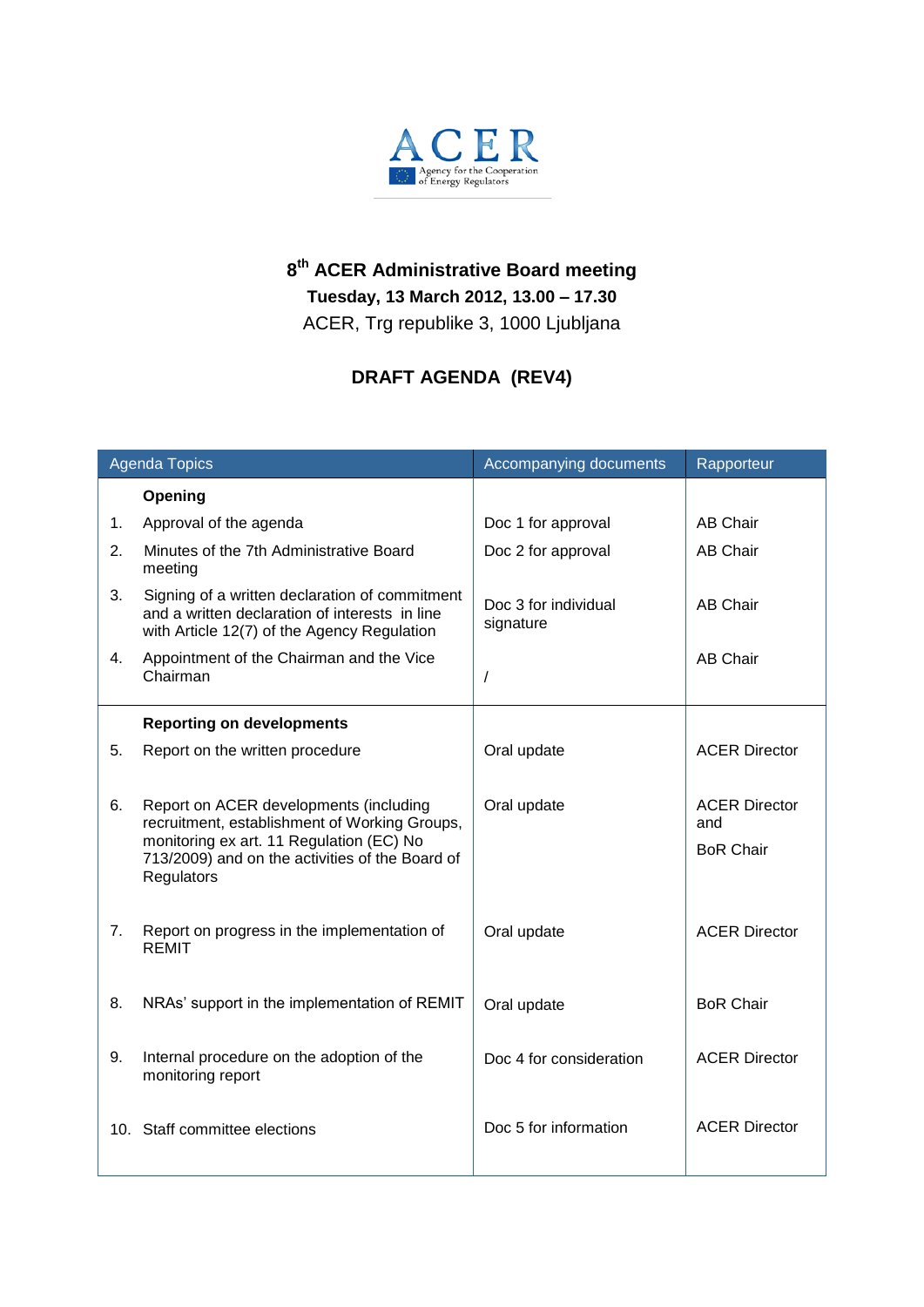

## **8 th ACER Administrative Board meeting Tuesday, 13 March 2012, 13.00 – 17.30** ACER, Trg republike 3, 1000 Ljubljana

## **DRAFT AGENDA (REV4)**

| <b>Agenda Topics</b> |                                                                                                                                                                                                      | Accompanying documents            | Rapporteur                                      |
|----------------------|------------------------------------------------------------------------------------------------------------------------------------------------------------------------------------------------------|-----------------------------------|-------------------------------------------------|
|                      | Opening                                                                                                                                                                                              |                                   |                                                 |
| 1.                   | Approval of the agenda                                                                                                                                                                               | Doc 1 for approval                | AB Chair                                        |
| 2.                   | Minutes of the 7th Administrative Board<br>meeting                                                                                                                                                   | Doc 2 for approval                | <b>AB Chair</b>                                 |
| 3.                   | Signing of a written declaration of commitment<br>and a written declaration of interests in line<br>with Article 12(7) of the Agency Regulation                                                      | Doc 3 for individual<br>signature | <b>AB Chair</b>                                 |
| 4.                   | Appointment of the Chairman and the Vice<br>Chairman                                                                                                                                                 |                                   | <b>AB Chair</b>                                 |
|                      | <b>Reporting on developments</b>                                                                                                                                                                     |                                   |                                                 |
| 5.                   | Report on the written procedure                                                                                                                                                                      | Oral update                       | <b>ACER Director</b>                            |
| 6.                   | Report on ACER developments (including<br>recruitment, establishment of Working Groups,<br>monitoring ex art. 11 Regulation (EC) No<br>713/2009) and on the activities of the Board of<br>Regulators | Oral update                       | <b>ACER Director</b><br>and<br><b>BoR Chair</b> |
| 7.                   | Report on progress in the implementation of<br><b>REMIT</b>                                                                                                                                          | Oral update                       | <b>ACER Director</b>                            |
| 8.                   | NRAs' support in the implementation of REMIT                                                                                                                                                         | Oral update                       | <b>BoR Chair</b>                                |
| 9.                   | Internal procedure on the adoption of the<br>monitoring report                                                                                                                                       | Doc 4 for consideration           | <b>ACER Director</b>                            |
|                      | 10. Staff committee elections                                                                                                                                                                        | Doc 5 for information             | <b>ACER Director</b>                            |